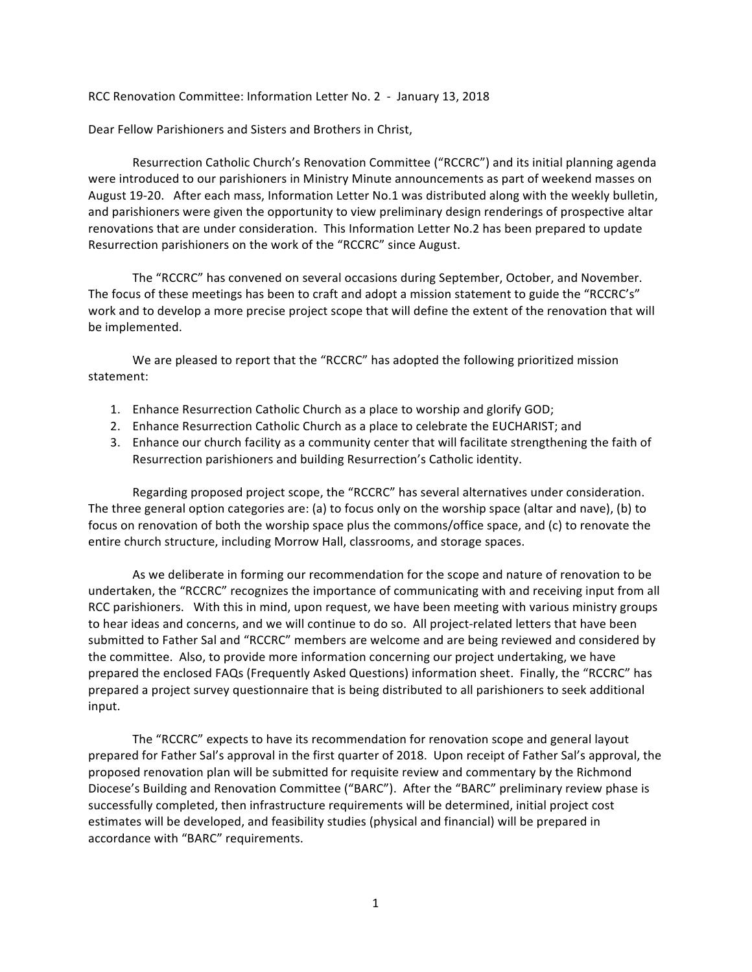RCC Renovation Committee: Information Letter No. 2 - January 13, 2018

Dear Fellow Parishioners and Sisters and Brothers in Christ,

Resurrection Catholic Church's Renovation Committee ("RCCRC") and its initial planning agenda were introduced to our parishioners in Ministry Minute announcements as part of weekend masses on August 19-20. After each mass, Information Letter No.1 was distributed along with the weekly bulletin, and parishioners were given the opportunity to view preliminary design renderings of prospective altar renovations that are under consideration. This Information Letter No.2 has been prepared to update Resurrection parishioners on the work of the "RCCRC" since August.

The "RCCRC" has convened on several occasions during September, October, and November. The focus of these meetings has been to craft and adopt a mission statement to guide the "RCCRC's" work and to develop a more precise project scope that will define the extent of the renovation that will be implemented.

We are pleased to report that the "RCCRC" has adopted the following prioritized mission statement:

- 1. Enhance Resurrection Catholic Church as a place to worship and glorify GOD;
- 2. Enhance Resurrection Catholic Church as a place to celebrate the EUCHARIST; and
- 3. Enhance our church facility as a community center that will facilitate strengthening the faith of Resurrection parishioners and building Resurrection's Catholic identity.

Regarding proposed project scope, the "RCCRC" has several alternatives under consideration. The three general option categories are: (a) to focus only on the worship space (altar and nave), (b) to focus on renovation of both the worship space plus the commons/office space, and (c) to renovate the entire church structure, including Morrow Hall, classrooms, and storage spaces.

As we deliberate in forming our recommendation for the scope and nature of renovation to be undertaken, the "RCCRC" recognizes the importance of communicating with and receiving input from all RCC parishioners. With this in mind, upon request, we have been meeting with various ministry groups to hear ideas and concerns, and we will continue to do so. All project-related letters that have been submitted to Father Sal and "RCCRC" members are welcome and are being reviewed and considered by the committee. Also, to provide more information concerning our project undertaking, we have prepared the enclosed FAQs (Frequently Asked Questions) information sheet. Finally, the "RCCRC" has prepared a project survey questionnaire that is being distributed to all parishioners to seek additional input.

The "RCCRC" expects to have its recommendation for renovation scope and general layout prepared for Father Sal's approval in the first quarter of 2018. Upon receipt of Father Sal's approval, the proposed renovation plan will be submitted for requisite review and commentary by the Richmond Diocese's Building and Renovation Committee ("BARC"). After the "BARC" preliminary review phase is successfully completed, then infrastructure requirements will be determined, initial project cost estimates will be developed, and feasibility studies (physical and financial) will be prepared in accordance with "BARC" requirements.